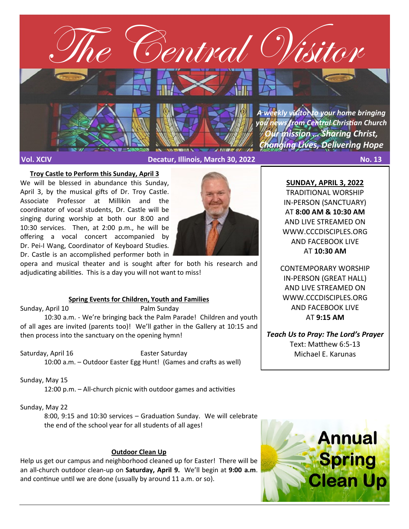

#### **Troy Castle to Perform this Sunday, April 3**

We will be blessed in abundance this Sunday, April 3, by the musical gifts of Dr. Troy Castle. Associate Professor at Millikin and the coordinator of vocal students, Dr. Castle will be singing during worship at both our 8:00 and 10:30 services. Then, at 2:00 p.m., he will be offering a vocal concert accompanied by Dr. Pei-I Wang, Coordinator of Keyboard Studies. Dr. Castle is an accomplished performer both in



opera and musical theater and is sought after for both his research and adjudicating abilities. This is a day you will not want to miss!

#### **Spring Events for Children, Youth and Families**

Sunday, April 10 Palm Sunday 10:30 a.m. - We're bringing back the Palm Parade! Children and youth of all ages are invited (parents too)! We'll gather in the Gallery at 10:15 and then process into the sanctuary on the opening hymn!

Saturday, April 16 Easter Saturday 10:00 a.m. – Outdoor Easter Egg Hunt! (Games and crafts as well)

Sunday, May 15

12:00 p.m. – All-church picnic with outdoor games and activities

Sunday, May 22

8:00, 9:15 and 10:30 services – Graduation Sunday. We will celebrate the end of the school year for all students of all ages!

## **Outdoor Clean Up**

Help us get our campus and neighborhood cleaned up for Easter! There will be an all-church outdoor clean-up on **Saturday, April 9.** We'll begin at **9:00 a.m**. and continue until we are done (usually by around 11 a.m. or so).

**SUNDAY, APRIL 3, 2022** TRADITIONAL WORSHIP IN-PERSON (SANCTUARY) AT **8:00 AM & 10:30 AM**  AND LIVE STREAMED ON WWW.CCCDISCIPLES.ORG AND FACEBOOK LIVE AT **10:30 AM**

CONTEMPORARY WORSHIP IN-PERSON (GREAT HALL) AND LIVE STREAMED ON WWW.CCCDISCIPLES.ORG AND FACEBOOK LIVE AT **9:15 AM**

*Teach Us to Pray: The Lord's Prayer* Text: Matthew 6:5-13 Michael E. Karunas

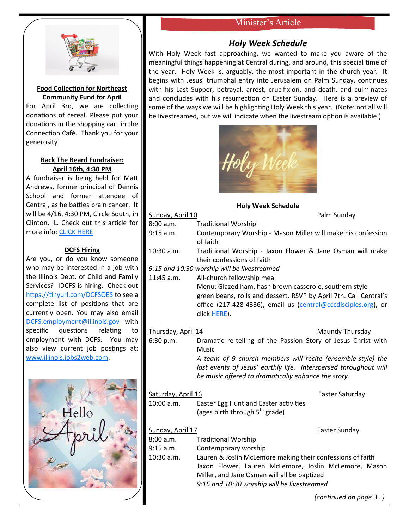# Minister's Article



## **Food Collection for Northeast Community Fund for April**

For April 3rd, we are collecting donations of cereal. Please put your donations in the shopping cart in the Connection Café. Thank you for your generosity!

## **Back The Beard Fundraiser: April 16th, 4:30 PM**

A fundraiser is being held for Matt Andrews, former principal of Dennis School and former attendee of Central, as he battles brain cancer. It will be 4/16, 4:30 PM, Circle South, in Clinton, IL. Check out this article for more info: [CLICK HERE](https://herald-review.com/news/local/education/back-the-beard-fundraiser-planned-for-former-dennis-school-principal/article_fc242821-c7db-55a3-8f71-31b726511fb9.html)

## **DCFS Hiring**

Are you, or do you know someone who may be interested in a job with the Illinois Dept. of Child and Family Services? IDCFS is hiring. Check out <https://tinyurl.com/DCFSOES> to see a complete list of positions that are currently open. You may also email [DCFS.employment@illinois.gov](mailto:DCFS.employment@illinois.gov) with specific questions relating to employment with DCFS. You may also view current job postings at: [www.illinois.jobs2web.com.](http://www.illinois.jobs2web.com)



# *Holy Week Schedule*

With Holy Week fast approaching, we wanted to make you aware of the meaningful things happening at Central during, and around, this special time of the year. Holy Week is, arguably, the most important in the church year. It begins with Jesus' triumphal entry into Jerusalem on Palm Sunday, continues with his Last Supper, betrayal, arrest, crucifixion, and death, and culminates and concludes with his resurrection on Easter Sunday. Here is a preview of some of the ways we will be highlighting Holy Week this year. (Note: not all will be livestreamed, but we will indicate when the livestream option is available.)



## **Holy Week Schedule**

| Sunday, April 10                            |                                                                                                                                                                                                               | Palm Sunday     |  |  |
|---------------------------------------------|---------------------------------------------------------------------------------------------------------------------------------------------------------------------------------------------------------------|-----------------|--|--|
| 8:00 a.m.                                   | <b>Traditional Worship</b>                                                                                                                                                                                    |                 |  |  |
| 9:15 a.m.                                   | Contemporary Worship - Mason Miller will make his confession<br>of faith                                                                                                                                      |                 |  |  |
| $10:30$ a.m.                                | Traditional Worship - Jaxon Flower & Jane Osman will make<br>their confessions of faith                                                                                                                       |                 |  |  |
| 9:15 and 10:30 worship will be livestreamed |                                                                                                                                                                                                               |                 |  |  |
| 11:45 a.m.                                  | All-church fellowship meal                                                                                                                                                                                    |                 |  |  |
|                                             | Menu: Glazed ham, hash brown casserole, southern style<br>green beans, rolls and dessert. RSVP by April 7th. Call Central's<br>office (217-428-4336), email us (central@cccdisciples.org), or<br>click HERE). |                 |  |  |
| Thursday, April 14                          |                                                                                                                                                                                                               | Maundy Thursday |  |  |
| 6:30 p.m.                                   | Dramatic re-telling of the Passion Story of Jesus Christ with<br><b>Music</b>                                                                                                                                 |                 |  |  |
|                                             | A team of 9 church members will recite (ensemble-style) the<br>last events of Jesus' earthly life. Interspersed throughout will<br>be music offered to dramatically enhance the story.                        |                 |  |  |
| Saturday, April 16                          |                                                                                                                                                                                                               | Easter Saturday |  |  |
| 10:00 a.m.                                  | Easter Egg Hunt and Easter activities                                                                                                                                                                         |                 |  |  |
|                                             | (ages birth through 5 <sup>th</sup> grade)                                                                                                                                                                    |                 |  |  |
| Sunday, April 17                            |                                                                                                                                                                                                               | Easter Sunday   |  |  |
| 8:00 a.m.                                   | <b>Traditional Worship</b>                                                                                                                                                                                    |                 |  |  |
| 9:15 a.m.                                   | Contemporary worship                                                                                                                                                                                          |                 |  |  |
| 10:30 a.m.                                  | Lauren & Joslin McLemore making their confessions of faith                                                                                                                                                    |                 |  |  |
|                                             | Jaxon Flower, Lauren McLemore, Joslin McLemore, Mason                                                                                                                                                         |                 |  |  |
|                                             | Miller, and Jane Osman will all be baptized<br>9:15 and 10:30 worship will be livestreamed                                                                                                                    |                 |  |  |
|                                             |                                                                                                                                                                                                               |                 |  |  |

*(continued on page 3…)*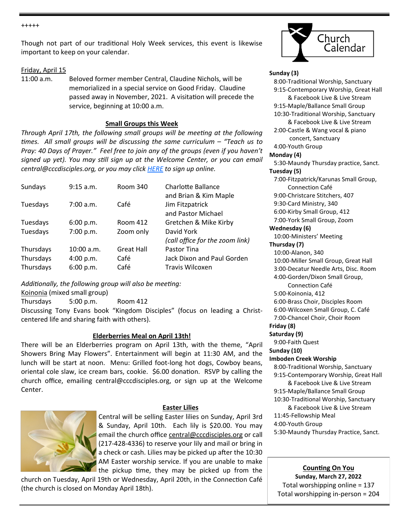+++++

Though not part of our traditional Holy Week services, this event is likewise important to keep on your calendar.

#### Friday, April 15

11:00 a.m. Beloved former member Central, Claudine Nichols, will be memorialized in a special service on Good Friday. Claudine passed away in November, 2021. A visitation will precede the service, beginning at 10:00 a.m.

#### **Small Groups this Week**

*Through April 17th, the following small groups will be meeting at the following times. All small groups will be discussing the same curriculum – "Teach us to Pray: 40 Days of Prayer." Feel free to join any of the groups (even if you haven't signed up yet). You may still sign up at the Welcome Center, or you can email central@cccdisciples.org, or you may click [HERE](https://cccdisciples.shelbynextchms.com/external/form/df15e8c1-5448-47e5-a185-f4aef9f7f43b) to sign up online.*

| Sundays                             | 9:15 a.m.                              | Room 340                          | Charlotte Ballance<br>and Brian & Kim Maple                  |
|-------------------------------------|----------------------------------------|-----------------------------------|--------------------------------------------------------------|
| Tuesdays                            | 7:00 a.m.                              | Café                              | Jim Fitzpatrick<br>and Pastor Michael                        |
| Tuesdays                            | 6:00 p.m.                              | Room 412                          | Gretchen & Mike Kirby                                        |
| Tuesdays                            | 7:00 p.m.                              | Zoom only                         | David York<br>(call office for the zoom link)                |
| Thursdays<br>Thursdays<br>Thursdays | $10:00$ a.m.<br>4:00 p.m.<br>6:00 p.m. | <b>Great Hall</b><br>Café<br>Café | Pastor Tina<br>Jack Dixon and Paul Gorden<br>Travis Wilcoxen |

*Additionally, the following group will also be meeting:*

Koinonia (mixed small group)

Thursdays 5:00 p.m. Room 412 Discussing Tony Evans book "Kingdom Disciples" (focus on leading a Christcentered life and sharing faith with others).

#### **Elderberries Meal on April 13th!**

There will be an Elderberries program on April 13th, with the theme, "April Showers Bring May Flowers". Entertainment will begin at 11:30 AM, and the lunch will be start at noon. Menu: Grilled foot-long hot dogs, Cowboy beans, oriental cole slaw, ice cream bars, cookie. \$6.00 donation. RSVP by calling the church office, emailing central@cccdisciples.org, or sign up at the Welcome Center.



#### **Easter Lilies**

Central will be selling Easter lilies on Sunday, April 3rd & Sunday, April 10th. Each lily is \$20.00. You may email the church office central@cccdisciples.org or call (217-428-4336) to reserve your lily and mail or bring in a check or cash. Lilies may be picked up after the 10:30 AM Easter worship service. If you are unable to make the pickup time, they may be picked up from the

church on Tuesday, April 19th or Wednesday, April 20th, in the Connection Café (the church is closed on Monday April 18th).



#### **Sunday (3)**

 8:00-Traditional Worship, Sanctuary 9:15-Contemporary Worship, Great Hall & Facebook Live & Live Stream 9:15-Maple/Ballance Small Group 10:30-Traditional Worship, Sanctuary & Facebook Live & Live Stream 2:00-Castle & Wang vocal & piano concert, Sanctuary 4:00-Youth Group **Monday (4)** 5:30-Maundy Thursday practice, Sanct. **Tuesday (5)** 7:00-Fitzpatrick/Karunas Small Group, Connection Café 9:00-Christcare Stitchers, 407 9:30-Card Ministry, 340 6:00-Kirby Small Group, 412 7:00-York Small Group, Zoom **Wednesday (6)** 10:00-Ministers' Meeting **Thursday (7)** 10:00-Alanon, 340 10:00-Miller Small Group, Great Hall 3:00-Decatur Needle Arts, Disc. Room 4:00-Gorden/Dixon Small Group, Connection Café 5:00-Koinonia, 412 6:00-Brass Choir, Disciples Room 6:00-Wilcoxen Small Group, C. Café 7:00-Chancel Choir, Choir Room **Friday (8) Saturday (9)** 9:00-Faith Quest **Sunday (10) Imboden Creek Worship** 8:00-Traditional Worship, Sanctuary 9:15-Contemporary Worship, Great Hall & Facebook Live & Live Stream 9:15-Maple/Ballance Small Group 10:30-Traditional Worship, Sanctuary & Facebook Live & Live Stream 11:45-Fellowship Meal 4:00-Youth Group 5:30-Maundy Thursday Practice, Sanct.

**Counting On You Sunday, March 27, 2022** Total worshipping online = 137 Total worshipping in-person = 204